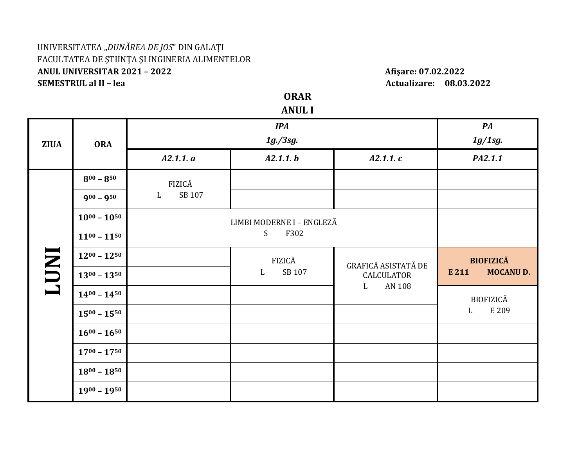## UNIVERSITATEA "DUNĂREA DE JOS" DIN GALAȚI FACULTATEA DE ȘTIINȚA ȘI INGINERIA ALIMENTELOR ANUL UNIVERSITAR 2021 - 2022 **SEMESTRUL al II - lea**

## Afișare: 07.02.2022 **Actualizare: 08.03.2022**

**ORAR ANULI** 

| <b>ZIUA</b> | <b>ORA</b>          |                        | PA<br>1g/1sg.                    |                                   |                          |
|-------------|---------------------|------------------------|----------------------------------|-----------------------------------|--------------------------|
|             |                     | A2.1.1. a              | A2.1.1. b                        | A2.1.1.c                          | PA2.1.1                  |
|             | $8^{00} - 8^{50}$   | FIZICĂ                 |                                  |                                   |                          |
|             | $900 - 950$         | SB 107<br>$\mathbf{L}$ |                                  |                                   |                          |
|             | $10^{00} - 10^{50}$ |                        | LIMBI MODERNE I - ENGLEZĂ        |                                   |                          |
|             | $11^{00} - 11^{50}$ |                        | S<br>F302                        |                                   |                          |
| INUT        | $12^{00} - 12^{50}$ |                        | FIZICĂ<br>SB 107<br>$\mathbf{L}$ | GRAFICĂ ASISTATĂ DE<br>CALCULATOR | <b>BIOFIZICĂ</b>         |
|             | $13^{00} - 13^{50}$ |                        |                                  |                                   | <b>MOCANUD.</b><br>E 211 |
|             | $14^{00} - 14^{50}$ |                        |                                  | AN 108<br>$\mathbf{L}$            | <b>BIOFIZICĂ</b>         |
|             | $15^{00} - 15^{50}$ |                        |                                  |                                   | E 209<br>L               |
|             | $16^{00} - 16^{50}$ |                        |                                  |                                   |                          |
|             | $17^{00} - 17^{50}$ |                        |                                  |                                   |                          |
|             | $18^{00} - 18^{50}$ |                        |                                  |                                   |                          |
|             | $1900 - 1950$       |                        |                                  |                                   |                          |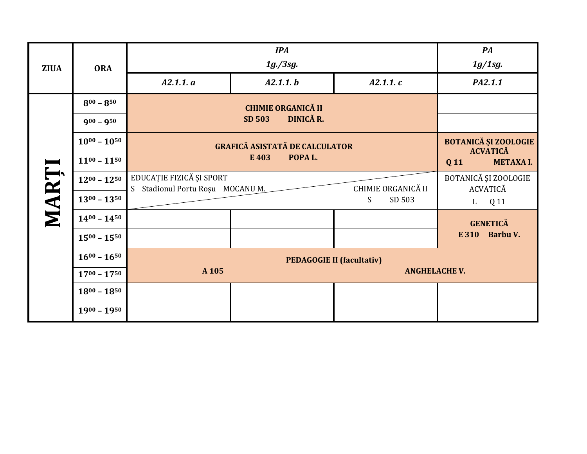| <b>ZIUA</b> | <b>ORA</b>          | <b>IPA</b><br>1g./3sg.                                       |           |  |                      | PA<br>1g/1sg.                                  |                  |                                  |
|-------------|---------------------|--------------------------------------------------------------|-----------|--|----------------------|------------------------------------------------|------------------|----------------------------------|
|             |                     | A2.1.1. a                                                    | A2.1.1. b |  |                      | A2.1.1.c                                       |                  | PA2.1.1                          |
|             | $8^{00} - 8^{50}$   | <b>CHIMIE ORGANICĂ II</b>                                    |           |  |                      |                                                |                  |                                  |
|             | $900 - 950$         | DINICĂ R.<br>SD 503                                          |           |  |                      |                                                |                  |                                  |
|             | $10^{00} - 10^{50}$ | <b>GRAFICĂ ASISTATĂ DE CALCULATOR</b>                        |           |  |                      | <b>BOTANICĂ ȘI ZOOLOGIE</b><br><b>ACVATICĂ</b> |                  |                                  |
|             | $11^{00} - 11^{50}$ | E <sub>403</sub><br>POPA L.                                  |           |  |                      | <b>Q11</b>                                     | <b>METAXA I.</b> |                                  |
|             | $12^{00} - 12^{50}$ | EDUCAȚIE FIZICĂ ȘI SPORT<br>S Stadionul Portu Roșu MOCANU M. |           |  |                      | CHIMIE ORGANICĂ II                             |                  | BOTANICĂ ȘI ZOOLOGIE<br>ACVATICĂ |
|             | $13^{00} - 13^{50}$ |                                                              |           |  | S.                   | SD 503                                         | $\mathbf{L}$     | Q 11                             |
| MART)       | $14^{00} - 14^{50}$ |                                                              |           |  |                      |                                                |                  | <b>GENETICĂ</b>                  |
|             | $15^{00} - 15^{50}$ |                                                              |           |  |                      |                                                |                  | E 310 Barbu V.                   |
|             | $16^{00} - 16^{50}$ | <b>PEDAGOGIE II (facultativ)</b>                             |           |  |                      |                                                |                  |                                  |
|             | $17^{00} - 17^{50}$ | A 105                                                        |           |  | <b>ANGHELACHE V.</b> |                                                |                  |                                  |
|             | $18^{00} - 18^{50}$ |                                                              |           |  |                      |                                                |                  |                                  |
|             | $1900 - 1950$       |                                                              |           |  |                      |                                                |                  |                                  |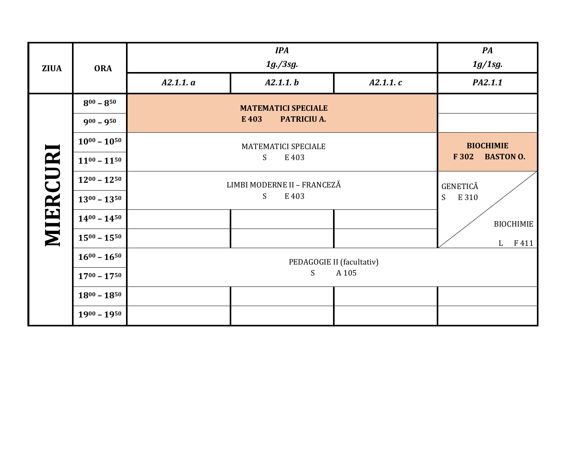| <b>ZIUA</b> | <b>ORA</b>          |           | PA<br>1g/1sg.                        |          |                      |  |  |
|-------------|---------------------|-----------|--------------------------------------|----------|----------------------|--|--|
|             |                     | A2.1.1. a | A2.1.1. b                            | A2.1.1.c | PA2.1.1              |  |  |
|             | $8^{00} - 8^{50}$   |           | <b>MATEMATICI SPECIALE</b>           |          |                      |  |  |
|             | $900 - 950$         |           |                                      |          |                      |  |  |
|             | $10^{00} - 10^{50}$ |           | <b>MATEMATICI SPECIALE</b>           |          |                      |  |  |
|             | $11^{00} - 11^{50}$ |           | F 302<br><b>BASTON O.</b>            |          |                      |  |  |
|             | $12^{00} - 12^{50}$ |           | LIMBI MODERNE II - FRANCEZĂ<br>E 403 |          |                      |  |  |
| MIERCURI    | $13^{00} - 13^{50}$ |           | E 310<br>S                           |          |                      |  |  |
|             | $14^{00} - 14^{50}$ |           |                                      |          | <b>BIOCHIMIE</b>     |  |  |
|             | $15^{00} - 15^{50}$ |           |                                      |          | F411<br>$\mathbf{L}$ |  |  |
|             | $16^{00} - 16^{50}$ |           | PEDAGOGIE II (facultativ)            |          |                      |  |  |
|             | $17^{00} - 17^{50}$ |           |                                      |          |                      |  |  |
|             | $18^{00} - 18^{50}$ |           |                                      |          |                      |  |  |
|             | $1900 - 1950$       |           |                                      |          |                      |  |  |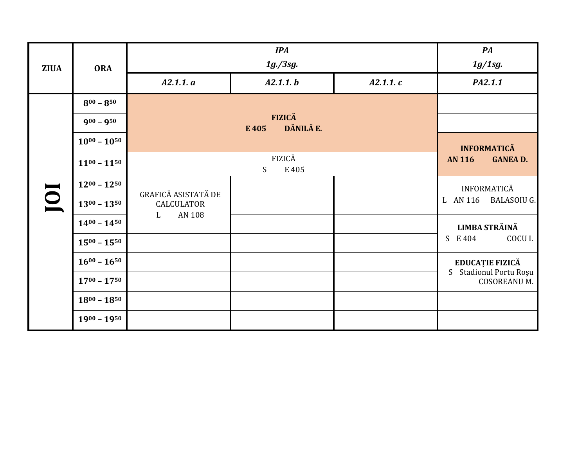| <b>ZIUA</b> | <b>ORA</b>          |                                                                | $\boldsymbol{P} \boldsymbol{A}$<br>1g/1sg. |          |                                                              |  |
|-------------|---------------------|----------------------------------------------------------------|--------------------------------------------|----------|--------------------------------------------------------------|--|
|             |                     | A2.1.1. a                                                      | A2.1.1. b                                  | A2.1.1.c | PA2.1.1                                                      |  |
|             | $8^{00} - 8^{50}$   |                                                                |                                            |          |                                                              |  |
|             | $900 - 950$         |                                                                |                                            |          |                                                              |  |
|             | $10^{00} - 10^{50}$ |                                                                | <b>INFORMATICĂ</b>                         |          |                                                              |  |
|             | $11^{00} - 11^{50}$ |                                                                | <b>AN 116</b><br><b>GANEAD.</b>            |          |                                                              |  |
|             | $12^{00} - 12^{50}$ | GRAFICĂ ASISTATĂ DE<br><b>CALCULATOR</b><br><b>AN 108</b><br>L |                                            |          | INFORMATICĂ                                                  |  |
|             | $13^{00} - 13^{50}$ |                                                                |                                            |          | <b>BALASOIU G.</b><br>L AN 116                               |  |
|             | $14^{00} - 14^{50}$ |                                                                |                                            |          | LIMBA STRĂINĂ                                                |  |
|             | $15^{00} - 15^{50}$ |                                                                |                                            |          | COCU I.<br>S<br>E 404                                        |  |
|             | $16^{00} - 16^{50}$ |                                                                |                                            |          | EDUCAȚIE FIZICĂ<br>Stadionul Portu Roșu<br>S<br>COSOREANU M. |  |
|             | $17^{00} - 17^{50}$ |                                                                |                                            |          |                                                              |  |
|             | $18^{00} - 18^{50}$ |                                                                |                                            |          |                                                              |  |
|             | $19^{00} - 19^{50}$ |                                                                |                                            |          |                                                              |  |